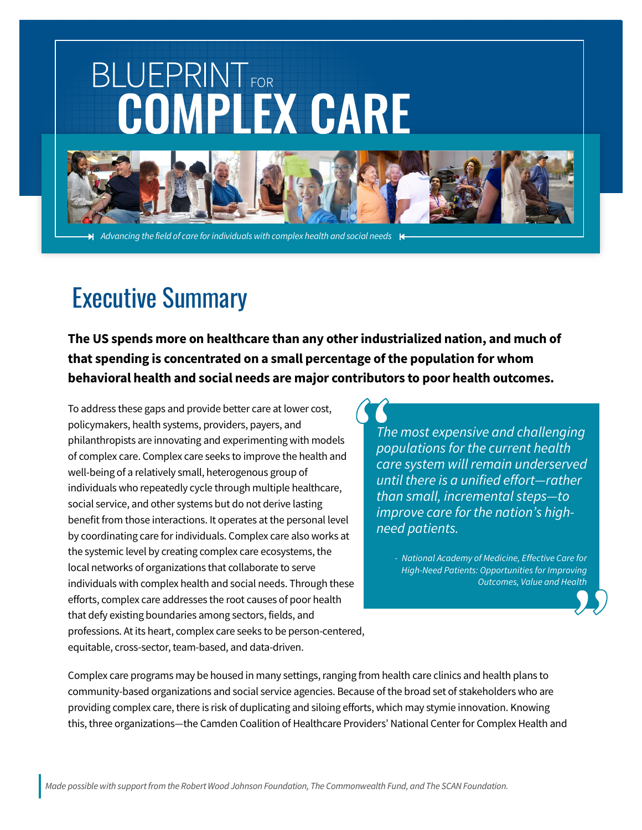# **BLUEPRINTFOR COMPLEX CARE**



*Advancing the field of care for individuals with complex health and social needs*

# Executive Summary

**The US spends more on healthcare than any other industrialized nation, and much of that spending is concentrated on a small percentage of the population for whom behavioral health and social needs are major contributors to poor health outcomes.**

To address these gaps and provide better care at lower cost, policymakers, health systems, providers, payers, and philanthropists are innovating and experimenting with models of complex care. Complex care seeks to improve the health and well-being of a relatively small, heterogenous group of individuals who repeatedly cycle through multiple healthcare, social service, and other systems but do not derive lasting benefit from those interactions. It operates at the personal level by coordinating care for individuals. Complex care also works at the systemic level by creating complex care ecosystems, the local networks of organizations that collaborate to serve individuals with complex health and social needs. Through these efforts, complex care addresses the root causes of poor health that defy existing boundaries among sectors, fields, and professions. At its heart, complex care seeks to be person-centered, equitable, cross-sector, team-based, and data-driven.

*The most expensive and challenging populations for the current health care system will remain underserved until there is a unified effort—rather than small, incremental steps—to improve care for the nation's highneed patients.*

*- National Academy of Medicine, Effective Care for High-Need Patients: Opportunities for Improving Outcomes, Value and Health*

Complex care programs may be housed in many settings, ranging from health care clinics and health plans to community-based organizations and social service agencies. Because of the broad set of stakeholders who are providing complex care, there is risk of duplicating and siloing efforts, which may stymie innovation. Knowing this, three organizations—the Camden Coalition of Healthcare Providers' National Center for Complex Health and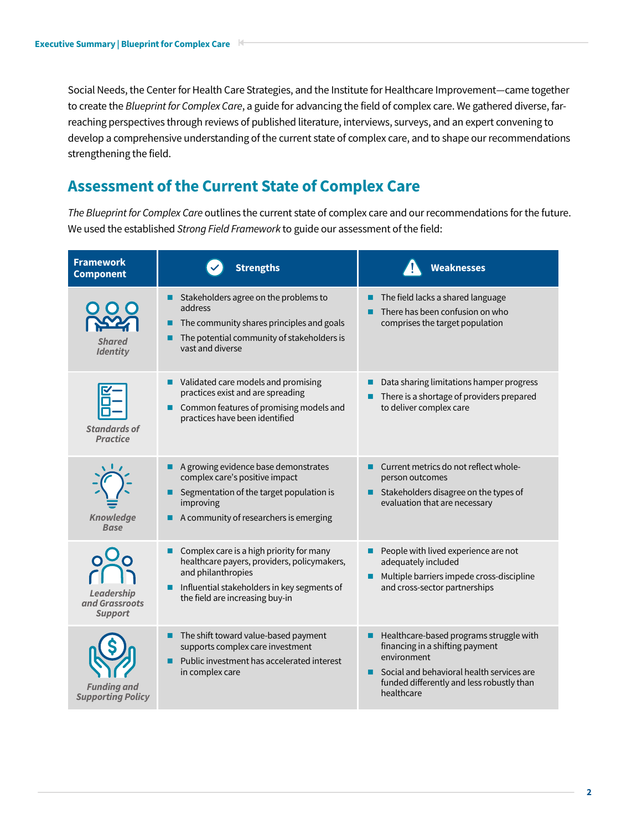Social Needs, the Center for Health Care Strategies, and the Institute for Healthcare Improvement—came together to create the *Blueprint for Complex Care*, a guide for advancing the field of complex care. We gathered diverse, farreaching perspectives through reviews of published literature, interviews, surveys, and an expert convening to develop a comprehensive understanding of the current state of complex care, and to shape our recommendations strengthening the field.

# **Assessment of the Current State of Complex Care**

*The Blueprint for Complex Care* outlines the current state of complex care and our recommendations for the future. We used the established *Strong Field Framework* to guide our assessment of the field:

| <b>Framework</b><br><b>Component</b>                  | <b>Strengths</b>                                                                                                                                                                                     | <b>Weaknesses</b>                                                                                                                                                                                           |
|-------------------------------------------------------|------------------------------------------------------------------------------------------------------------------------------------------------------------------------------------------------------|-------------------------------------------------------------------------------------------------------------------------------------------------------------------------------------------------------------|
| <b>Shared</b><br><b>Identity</b>                      | Stakeholders agree on the problems to<br>address<br>The community shares principles and goals<br>The potential community of stakeholders is<br>vast and diverse                                      | The field lacks a shared language<br>■<br>There has been confusion on who<br>comprises the target population                                                                                                |
| <b>Standards of</b><br><b>Practice</b>                | Validated care models and promising<br>practices exist and are spreading<br>Common features of promising models and<br>practices have been identified                                                | Data sharing limitations hamper progress<br>There is a shortage of providers prepared<br>to deliver complex care                                                                                            |
| <b>Knowledge</b><br><b>Base</b>                       | A growing evidence base demonstrates<br>complex care's positive impact<br>Segmentation of the target population is<br>improving<br>A community of researchers is emerging                            | Current metrics do not reflect whole-<br>person outcomes<br>Stakeholders disagree on the types of<br>evaluation that are necessary                                                                          |
| <b>Leadership</b><br>and Grassroots<br><b>Support</b> | Complex care is a high priority for many<br>healthcare payers, providers, policymakers,<br>and philanthropies<br>Influential stakeholders in key segments of<br>ш<br>the field are increasing buy-in | People with lived experience are not<br>adequately included<br>Multiple barriers impede cross-discipline<br>and cross-sector partnerships                                                                   |
| <b>Funding and</b><br><b>Supporting Policy</b>        | The shift toward value-based payment<br>■<br>supports complex care investment<br>Public investment has accelerated interest<br>in complex care                                                       | Healthcare-based programs struggle with<br>п<br>financing in a shifting payment<br>environment<br>Social and behavioral health services are<br>■<br>funded differently and less robustly than<br>healthcare |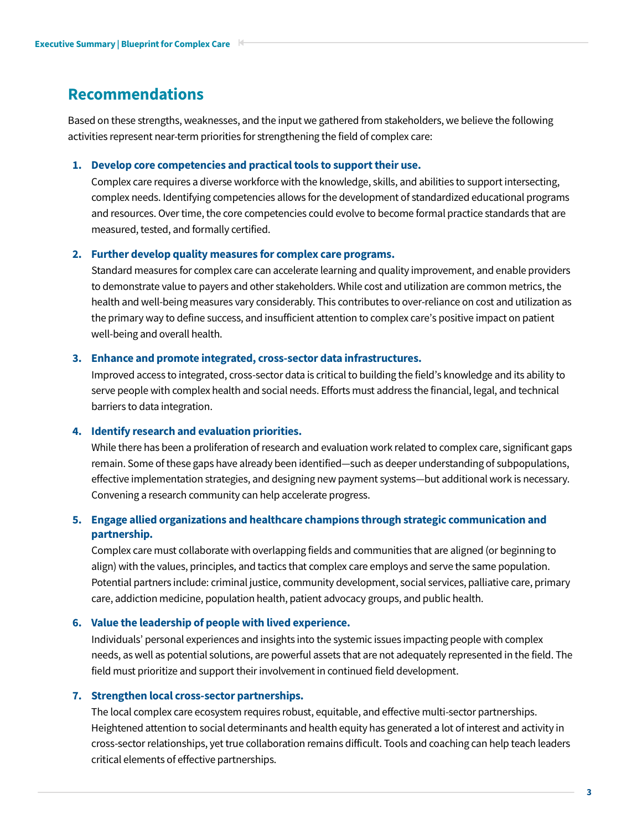## **Recommendations**

Based on these strengths, weaknesses, and the input we gathered from stakeholders, we believe the following activities represent near-term priorities for strengthening the field of complex care:

#### **1. Develop core competencies and practical tools to support their use.**

Complex care requires a diverse workforce with the knowledge, skills, and abilities to support intersecting, complex needs. Identifying competencies allows for the development of standardized educational programs and resources. Over time, the core competencies could evolve to become formal practice standards that are measured, tested, and formally certified.

#### **2. Further develop quality measures for complex care programs.**

Standard measures for complex care can accelerate learning and quality improvement, and enable providers to demonstrate value to payers and other stakeholders. While cost and utilization are common metrics, the health and well-being measures vary considerably. This contributes to over-reliance on cost and utilization as the primary way to define success, and insufficient attention to complex care's positive impact on patient well-being and overall health.

#### **3. Enhance and promote integrated, cross-sector data infrastructures.**

Improved access to integrated, cross-sector data is critical to building the field's knowledge and its ability to serve people with complex health and social needs. Efforts must address the financial, legal, and technical barriers to data integration.

#### **4. Identify research and evaluation priorities.**

While there has been a proliferation of research and evaluation work related to complex care, significant gaps remain. Some of these gaps have already been identified—such as deeper understanding of subpopulations, effective implementation strategies, and designing new payment systems—but additional work is necessary. Convening a research community can help accelerate progress.

#### **5. Engage allied organizations and healthcare champions through strategic communication and partnership.**

Complex care must collaborate with overlapping fields and communities that are aligned (or beginning to align) with the values, principles, and tactics that complex care employs and serve the same population. Potential partners include: criminal justice, community development, social services, palliative care, primary care, addiction medicine, population health, patient advocacy groups, and public health.

#### **6. Value the leadership of people with lived experience.**

Individuals' personal experiences and insights into the systemic issues impacting people with complex needs, as well as potential solutions, are powerful assets that are not adequately represented in the field. The field must prioritize and support their involvement in continued field development.

#### **7. Strengthen local cross-sector partnerships.**

The local complex care ecosystem requires robust, equitable, and effective multi-sector partnerships. Heightened attention to social determinants and health equity has generated a lot of interest and activity in cross-sector relationships, yet true collaboration remains difficult. Tools and coaching can help teach leaders critical elements of effective partnerships.